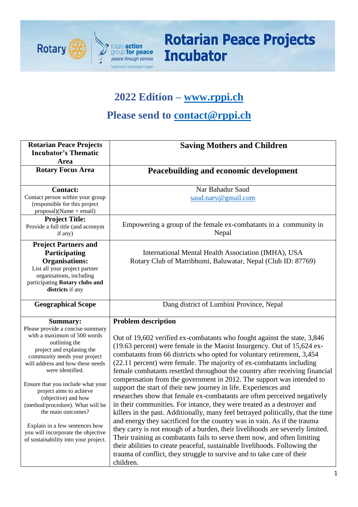

## **2022 Edition – [www.rppi.ch](http://www.rppi.ch/)**

## **Please send to [contact@rppi.ch](mailto:contact@rppi.ch)**

| <b>Rotarian Peace Projects</b><br><b>Incubator's Thematic</b><br>Area                                                                                                                                                                                                                                                                                                                                                                                                                     | <b>Saving Mothers and Children</b>                                                                                                                                                                                                                                                                                                                                                                                                                                                                                                                                                                                                                                                                                                                                                                                                                                                                                                                                                                                                                                                                                                                                                                                       |  |  |  |  |
|-------------------------------------------------------------------------------------------------------------------------------------------------------------------------------------------------------------------------------------------------------------------------------------------------------------------------------------------------------------------------------------------------------------------------------------------------------------------------------------------|--------------------------------------------------------------------------------------------------------------------------------------------------------------------------------------------------------------------------------------------------------------------------------------------------------------------------------------------------------------------------------------------------------------------------------------------------------------------------------------------------------------------------------------------------------------------------------------------------------------------------------------------------------------------------------------------------------------------------------------------------------------------------------------------------------------------------------------------------------------------------------------------------------------------------------------------------------------------------------------------------------------------------------------------------------------------------------------------------------------------------------------------------------------------------------------------------------------------------|--|--|--|--|
| <b>Rotary Focus Area</b>                                                                                                                                                                                                                                                                                                                                                                                                                                                                  | Peacebuilding and economic development                                                                                                                                                                                                                                                                                                                                                                                                                                                                                                                                                                                                                                                                                                                                                                                                                                                                                                                                                                                                                                                                                                                                                                                   |  |  |  |  |
| <b>Contact:</b><br>Contact person within your group<br>(responsible for this project<br>$proposal)(Name + email)$                                                                                                                                                                                                                                                                                                                                                                         | Nar Bahadur Saud<br>saud.nary@gmail.com                                                                                                                                                                                                                                                                                                                                                                                                                                                                                                                                                                                                                                                                                                                                                                                                                                                                                                                                                                                                                                                                                                                                                                                  |  |  |  |  |
| <b>Project Title:</b><br>Provide a full title (and acronym<br>if any)                                                                                                                                                                                                                                                                                                                                                                                                                     | Empowering a group of the female ex-combatants in a community in<br>Nepal                                                                                                                                                                                                                                                                                                                                                                                                                                                                                                                                                                                                                                                                                                                                                                                                                                                                                                                                                                                                                                                                                                                                                |  |  |  |  |
| <b>Project Partners and</b><br>Participating<br><b>Organisations:</b><br>List all your project partner<br>organisations, including<br>participating Rotary clubs and<br>districts if any                                                                                                                                                                                                                                                                                                  | International Mental Health Association (IMHA), USA<br>Rotary Club of Matribhumi, Baluwatar, Nepal (Club ID: 87769)                                                                                                                                                                                                                                                                                                                                                                                                                                                                                                                                                                                                                                                                                                                                                                                                                                                                                                                                                                                                                                                                                                      |  |  |  |  |
| <b>Geographical Scope</b>                                                                                                                                                                                                                                                                                                                                                                                                                                                                 | Dang district of Lumbini Province, Nepal                                                                                                                                                                                                                                                                                                                                                                                                                                                                                                                                                                                                                                                                                                                                                                                                                                                                                                                                                                                                                                                                                                                                                                                 |  |  |  |  |
| <b>Summary:</b><br>Please provide a concise summary<br>with a maximum of 500 words<br>outlining the<br>project and explaning the<br>community needs your project<br>will address and how these needs<br>were identified.<br>Ensure that you include what your<br>project aims to achieve<br>(objective) and how<br>(method/procedure). What will be<br>the main outcomes?<br>Explain in a few sentences how<br>you will incorporate the objective<br>of sustainability into your project. | <b>Problem description</b><br>Out of 19,602 verified ex-combatants who fought against the state, 3,846<br>(19.63 percent) were female in the Maoist Insurgency. Out of 15,624 ex-<br>combatants from 66 districts who opted for voluntary retirement, 3,454<br>(22.11 percent) were female. The majority of ex-combatants including<br>female combatants resettled throughout the country after receiving financial<br>compensation from the government in 2012. The support was intended to<br>support the start of their new journey in life. Experiences and<br>researches show that female ex-combatants are often perceived negatively<br>in their communities. For intance, they were treated as a destroyer and<br>killers in the past. Additionally, many feel betrayed politically, that the time<br>and energy they sacrificed for the country was in vain. As if the trauma<br>they carry is not enough of a burden, their livelihoods are severely limited.<br>Their training as combatants fails to serve them now, and often limiting<br>their abilities to create peaceful, sustainable livelihoods. Following the<br>trauma of conflict, they struggle to survive and to take care of their<br>children. |  |  |  |  |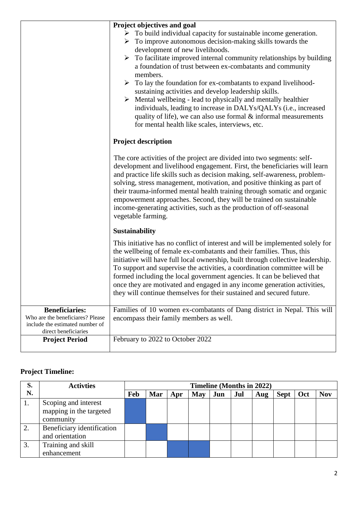|                                                                                                                      | Project objectives and goal<br>$\triangleright$ To build individual capacity for sustainable income generation.<br>$\triangleright$ To improve autonomous decision-making skills towards the<br>development of new livelihoods.<br>To facilitate improved internal community relationships by building<br>➤<br>a foundation of trust between ex-combatants and community<br>members.<br>$\triangleright$ To lay the foundation for ex-combatants to expand livelihood-<br>sustaining activities and develop leadership skills.<br>Mental wellbeing - lead to physically and mentally healthier<br>➤<br>individuals, leading to increase in DALYs/QALYs (i.e., increased<br>quality of life), we can also use formal $\&$ informal measurements<br>for mental health like scales, interviews, etc. |  |  |  |  |  |
|----------------------------------------------------------------------------------------------------------------------|---------------------------------------------------------------------------------------------------------------------------------------------------------------------------------------------------------------------------------------------------------------------------------------------------------------------------------------------------------------------------------------------------------------------------------------------------------------------------------------------------------------------------------------------------------------------------------------------------------------------------------------------------------------------------------------------------------------------------------------------------------------------------------------------------|--|--|--|--|--|
|                                                                                                                      | <b>Project description</b>                                                                                                                                                                                                                                                                                                                                                                                                                                                                                                                                                                                                                                                                                                                                                                        |  |  |  |  |  |
|                                                                                                                      | The core activities of the project are divided into two segments: self-<br>development and livelihood engagement. First, the beneficiaries will learn<br>and practice life skills such as decision making, self-awareness, problem-<br>solving, stress management, motivation, and positive thinking as part of<br>their trauma-informed mental health training through somatic and organic<br>empowerment approaches. Second, they will be trained on sustainable<br>income-generating activities, such as the production of off-seasonal<br>vegetable farming.                                                                                                                                                                                                                                  |  |  |  |  |  |
|                                                                                                                      | Sustainability                                                                                                                                                                                                                                                                                                                                                                                                                                                                                                                                                                                                                                                                                                                                                                                    |  |  |  |  |  |
|                                                                                                                      | This initiative has no conflict of interest and will be implemented solely for<br>the wellbeing of female ex-combatants and their families. Thus, this<br>initiative will have full local ownership, built through collective leadership.<br>To support and supervise the activities, a coordination committee will be<br>formed including the local government agencies. It can be believed that<br>once they are motivated and engaged in any income generation activities,<br>they will continue themselves for their sustained and secured future.                                                                                                                                                                                                                                            |  |  |  |  |  |
| <b>Beneficiaries:</b><br>Who are the beneficiares? Please<br>include the estimated number of<br>direct beneficiaries | Families of 10 women ex-combatants of Dang district in Nepal. This will<br>encompass their family members as well.                                                                                                                                                                                                                                                                                                                                                                                                                                                                                                                                                                                                                                                                                |  |  |  |  |  |
| <b>Project Period</b>                                                                                                | February to 2022 to October 2022                                                                                                                                                                                                                                                                                                                                                                                                                                                                                                                                                                                                                                                                                                                                                                  |  |  |  |  |  |

## **Project Timeline:**

| S. | <b>Activties</b>           | <b>Timeline (Months in 2022)</b> |            |     |            |     |     |     |             |     |            |
|----|----------------------------|----------------------------------|------------|-----|------------|-----|-----|-----|-------------|-----|------------|
| N. |                            | Feb                              | <b>Mar</b> | Apr | <b>May</b> | Jun | Jul | Aug | <b>Sept</b> | Oct | <b>Nov</b> |
| 1. | Scoping and interest       |                                  |            |     |            |     |     |     |             |     |            |
|    | mapping in the targeted    |                                  |            |     |            |     |     |     |             |     |            |
|    | community                  |                                  |            |     |            |     |     |     |             |     |            |
|    | Beneficiary identification |                                  |            |     |            |     |     |     |             |     |            |
|    | and orientation            |                                  |            |     |            |     |     |     |             |     |            |
| 3. | Training and skill         |                                  |            |     |            |     |     |     |             |     |            |
|    | enhancement                |                                  |            |     |            |     |     |     |             |     |            |